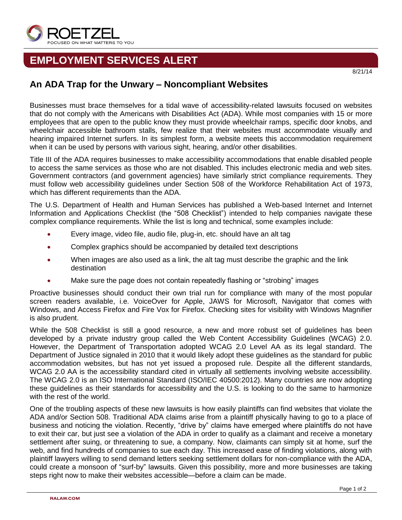

## **EMPLOYMENT SERVICES ALERT**

## **An ADA Trap for the Unwary – Noncompliant Websites**

Businesses must brace themselves for a tidal wave of accessibility-related lawsuits focused on websites that do not comply with the Americans with Disabilities Act (ADA). While most companies with 15 or more employees that are open to the public know they must provide wheelchair ramps, specific door knobs, and wheelchair accessible bathroom stalls, few realize that their websites must accommodate visually and hearing impaired Internet surfers. In its simplest form, a website meets this accommodation requirement when it can be used by persons with various sight, hearing, and/or other disabilities.

Title III of the ADA requires businesses to make accessibility accommodations that enable disabled people to access the same services as those who are not disabled. This includes electronic media and web sites. Government contractors (and government agencies) have similarly strict compliance requirements. They must follow web accessibility guidelines under Section 508 of the Workforce Rehabilitation Act of 1973, which has different requirements than the ADA.

The U.S. Department of Health and Human Services has published a Web-based Internet and Internet Information and Applications Checklist (the "508 Checklist") intended to help companies navigate these complex compliance requirements. While the list is long and technical, some examples include:

- Every image, video file, audio file, plug-in, etc. should have an alt tag
- Complex graphics should be accompanied by detailed text descriptions
- When images are also used as a link, the alt tag must describe the graphic and the link destination
- Make sure the page does not contain repeatedly flashing or "strobing" images

Proactive businesses should conduct their own trial run for compliance with many of the most popular screen readers available, i.e. VoiceOver for Apple, JAWS for Microsoft, Navigator that comes with Windows, and Access Firefox and Fire Vox for Firefox. Checking sites for visibility with Windows Magnifier is also prudent.

While the 508 Checklist is still a good resource, a new and more robust set of guidelines has been developed by a private industry group called the Web Content Accessibility Guidelines (WCAG) 2.0. However, the Department of Transportation adopted WCAG 2.0 Level AA as its legal standard. The Department of Justice signaled in 2010 that it would likely adopt these guidelines as the standard for public accommodation websites, but has not yet issued a proposed rule. Despite all the different standards, WCAG 2.0 AA is the accessibility standard cited in virtually all settlements involving website accessibility. The WCAG 2.0 is an ISO International Standard (ISO/IEC 40500:2012). Many countries are now adopting these guidelines as their standards for accessibility and the U.S. is looking to do the same to harmonize with the rest of the world.

One of the troubling aspects of these new lawsuits is how easily plaintiffs can find websites that violate the ADA and/or Section 508. Traditional ADA claims arise from a plaintiff physically having to go to a place of business and noticing the violation. Recently, "drive by" claims have emerged where plaintiffs do not have to exit their car, but just see a violation of the ADA in order to qualify as a claimant and receive a monetary settlement after suing, or threatening to sue, a company. Now, claimants can simply sit at home, surf the web, and find hundreds of companies to sue each day. This increased ease of finding violations, along with plaintiff lawyers willing to send demand letters seeking settlement dollars for non-compliance with the ADA, could create a monsoon of "surf-by" lawsuits. Given this possibility, more and more businesses are taking steps right now to make their websites accessible—before a claim can be made.